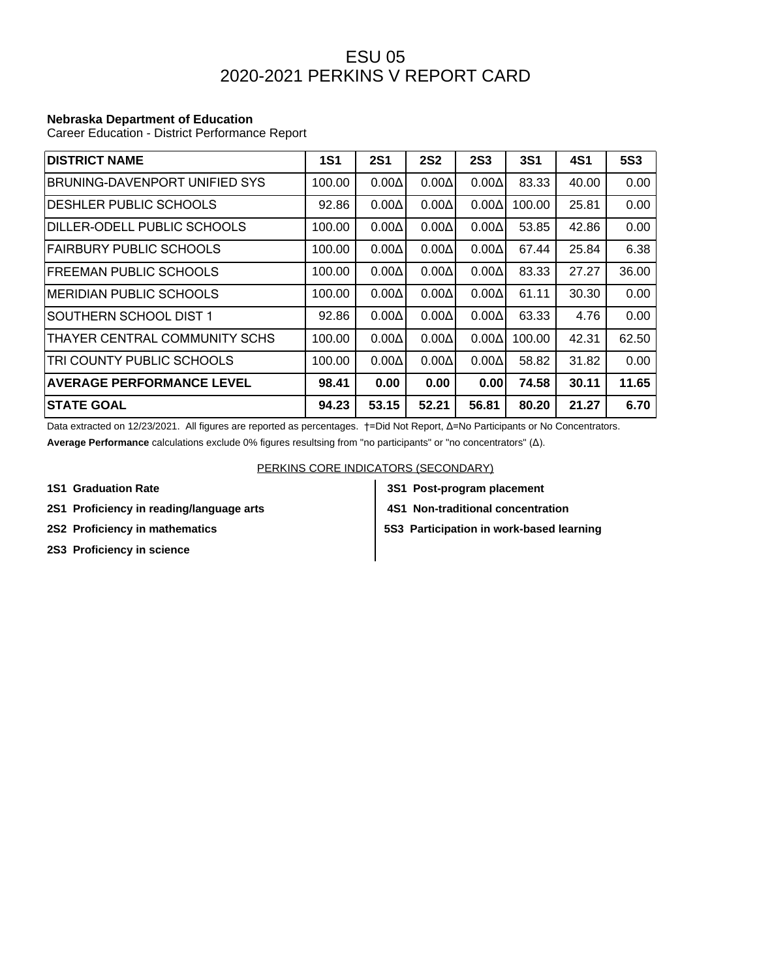## ESU 05 2020-2021 PERKINS V REPORT CARD

## **Nebraska Department of Education**

Career Education - District Performance Report

| <b>DISTRICT NAME</b>             | <b>1S1</b> | <b>2S1</b>   | <b>2S2</b>   | <b>2S3</b>   | <b>3S1</b> | <b>4S1</b> | <b>5S3</b> |
|----------------------------------|------------|--------------|--------------|--------------|------------|------------|------------|
| BRUNING-DAVENPORT UNIFIED SYS    | 100.00     | $0.00\Delta$ | $0.00\Delta$ | $0.00\Delta$ | 83.33      | 40.00      | 0.00       |
| <b>DESHLER PUBLIC SCHOOLS</b>    | 92.86      | $0.00\Delta$ | $0.00\Delta$ | $0.00\Delta$ | 100.00     | 25.81      | 0.00       |
| DILLER-ODELL PUBLIC SCHOOLS      | 100.00     | $0.00\Delta$ | $0.00\Delta$ | $0.00\Delta$ | 53.85      | 42.86      | 0.00       |
| FAIRBURY PUBLIC SCHOOLS          | 100.00     | $0.00\Delta$ | $0.00\Delta$ | $0.00\Delta$ | 67.44      | 25.84      | 6.38       |
| IFREEMAN PUBLIC SCHOOLS          | 100.00     | $0.00\Delta$ | $0.00\Delta$ | $0.00\Delta$ | 83.33      | 27.27      | 36.00      |
| MERIDIAN PUBLIC SCHOOLS          | 100.00     | $0.00\Delta$ | $0.00\Delta$ | $0.00\Delta$ | 61.11      | 30.30      | 0.00       |
| SOUTHERN SCHOOL DIST 1           | 92.86      | $0.00\Delta$ | $0.00\Delta$ | $0.00\Delta$ | 63.33      | 4.76       | 0.00       |
| THAYER CENTRAL COMMUNITY SCHS    | 100.00     | $0.00\Delta$ | $0.00\Delta$ | $0.00\Delta$ | 100.00     | 42.31      | 62.50      |
| TRI COUNTY PUBLIC SCHOOLS        | 100.00     | $0.00\Delta$ | $0.00\Delta$ | $0.00\Delta$ | 58.82      | 31.82      | 0.00       |
| <b>AVERAGE PERFORMANCE LEVEL</b> | 98.41      | 0.00         | 0.00         | 0.00         | 74.58      | 30.11      | 11.65      |
| <b>STATE GOAL</b>                | 94.23      | 53.15        | 52.21        | 56.81        | 80.20      | 21.27      | 6.70       |

Data extracted on 12/23/2021. All figures are reported as percentages. †=Did Not Report, Δ=No Participants or No Concentrators.

**Average Performance** calculations exclude 0% figures resultsing from "no participants" or "no concentrators" (Δ).

PERKINS CORE INDICATORS (SECONDARY)

- 
- 2S1 Proficiency in reading/language arts **4S1 Non-traditional concentration**
- 
- **2S3 Proficiency in science**
- **1S1 Graduation Rate 3S1 Post-program placement**
	-

**2S2 Proficiency in mathematics**  $\begin{vmatrix} 553 \end{vmatrix}$  **5S3 Participation in work-based learning**